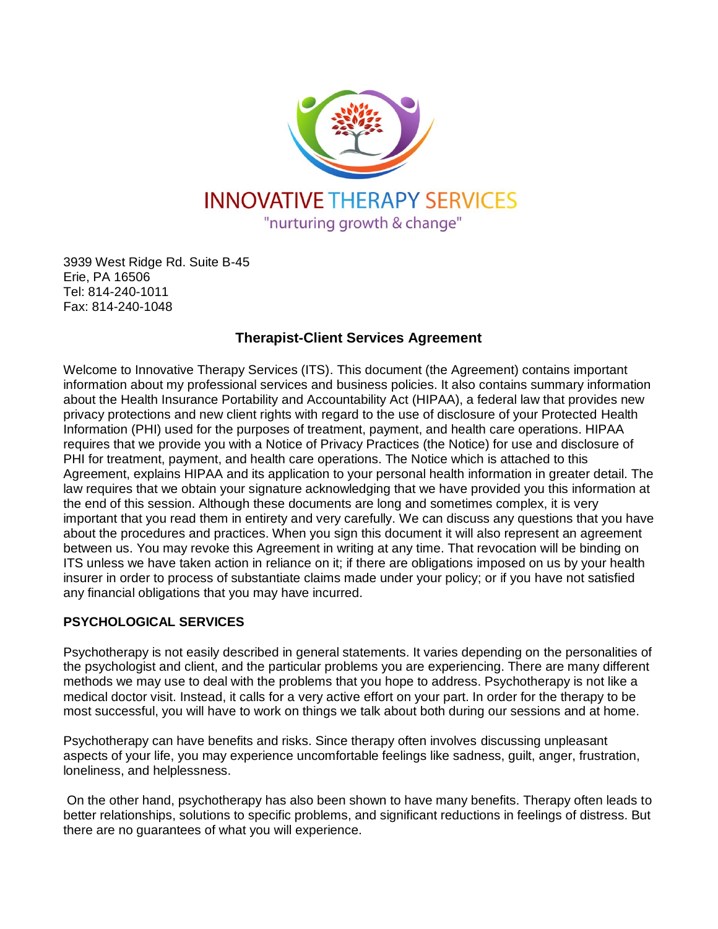

3939 West Ridge Rd. Suite B-45 Erie, PA 16506 Tel: 814-240-1011 Fax: 814-240-1048

# **Therapist-Client Services Agreement**

Welcome to Innovative Therapy Services (ITS). This document (the Agreement) contains important information about my professional services and business policies. It also contains summary information about the Health Insurance Portability and Accountability Act (HIPAA), a federal law that provides new privacy protections and new client rights with regard to the use of disclosure of your Protected Health Information (PHI) used for the purposes of treatment, payment, and health care operations. HIPAA requires that we provide you with a Notice of Privacy Practices (the Notice) for use and disclosure of PHI for treatment, payment, and health care operations. The Notice which is attached to this Agreement, explains HIPAA and its application to your personal health information in greater detail. The law requires that we obtain your signature acknowledging that we have provided you this information at the end of this session. Although these documents are long and sometimes complex, it is very important that you read them in entirety and very carefully. We can discuss any questions that you have about the procedures and practices. When you sign this document it will also represent an agreement between us. You may revoke this Agreement in writing at any time. That revocation will be binding on ITS unless we have taken action in reliance on it; if there are obligations imposed on us by your health insurer in order to process of substantiate claims made under your policy; or if you have not satisfied any financial obligations that you may have incurred.

## **PSYCHOLOGICAL SERVICES**

Psychotherapy is not easily described in general statements. It varies depending on the personalities of the psychologist and client, and the particular problems you are experiencing. There are many different methods we may use to deal with the problems that you hope to address. Psychotherapy is not like a medical doctor visit. Instead, it calls for a very active effort on your part. In order for the therapy to be most successful, you will have to work on things we talk about both during our sessions and at home.

Psychotherapy can have benefits and risks. Since therapy often involves discussing unpleasant aspects of your life, you may experience uncomfortable feelings like sadness, guilt, anger, frustration, loneliness, and helplessness.

On the other hand, psychotherapy has also been shown to have many benefits. Therapy often leads to better relationships, solutions to specific problems, and significant reductions in feelings of distress. But there are no guarantees of what you will experience.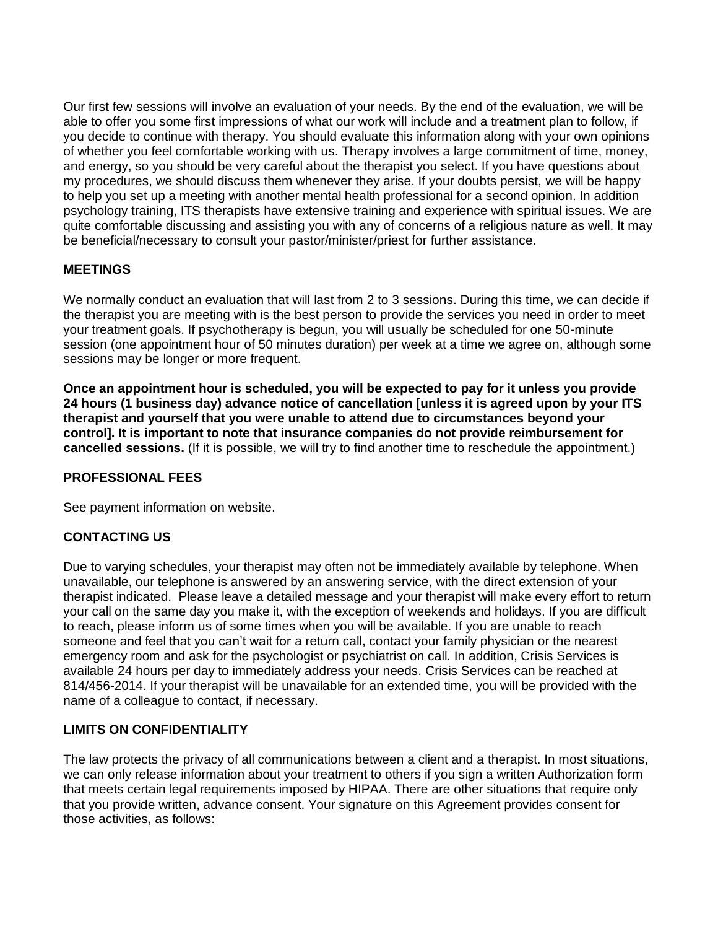Our first few sessions will involve an evaluation of your needs. By the end of the evaluation, we will be able to offer you some first impressions of what our work will include and a treatment plan to follow, if you decide to continue with therapy. You should evaluate this information along with your own opinions of whether you feel comfortable working with us. Therapy involves a large commitment of time, money, and energy, so you should be very careful about the therapist you select. If you have questions about my procedures, we should discuss them whenever they arise. If your doubts persist, we will be happy to help you set up a meeting with another mental health professional for a second opinion. In addition psychology training, ITS therapists have extensive training and experience with spiritual issues. We are quite comfortable discussing and assisting you with any of concerns of a religious nature as well. It may be beneficial/necessary to consult your pastor/minister/priest for further assistance.

### **MEETINGS**

We normally conduct an evaluation that will last from 2 to 3 sessions. During this time, we can decide if the therapist you are meeting with is the best person to provide the services you need in order to meet your treatment goals. If psychotherapy is begun, you will usually be scheduled for one 50-minute session (one appointment hour of 50 minutes duration) per week at a time we agree on, although some sessions may be longer or more frequent.

**Once an appointment hour is scheduled, you will be expected to pay for it unless you provide 24 hours (1 business day) advance notice of cancellation [unless it is agreed upon by your ITS therapist and yourself that you were unable to attend due to circumstances beyond your control]. It is important to note that insurance companies do not provide reimbursement for cancelled sessions.** (If it is possible, we will try to find another time to reschedule the appointment.)

#### **PROFESSIONAL FEES**

See payment information on website.

## **CONTACTING US**

Due to varying schedules, your therapist may often not be immediately available by telephone. When unavailable, our telephone is answered by an answering service, with the direct extension of your therapist indicated. Please leave a detailed message and your therapist will make every effort to return your call on the same day you make it, with the exception of weekends and holidays. If you are difficult to reach, please inform us of some times when you will be available. If you are unable to reach someone and feel that you can't wait for a return call, contact your family physician or the nearest emergency room and ask for the psychologist or psychiatrist on call. In addition, Crisis Services is available 24 hours per day to immediately address your needs. Crisis Services can be reached at 814/456-2014. If your therapist will be unavailable for an extended time, you will be provided with the name of a colleague to contact, if necessary.

#### **LIMITS ON CONFIDENTIALITY**

The law protects the privacy of all communications between a client and a therapist. In most situations, we can only release information about your treatment to others if you sign a written Authorization form that meets certain legal requirements imposed by HIPAA. There are other situations that require only that you provide written, advance consent. Your signature on this Agreement provides consent for those activities, as follows: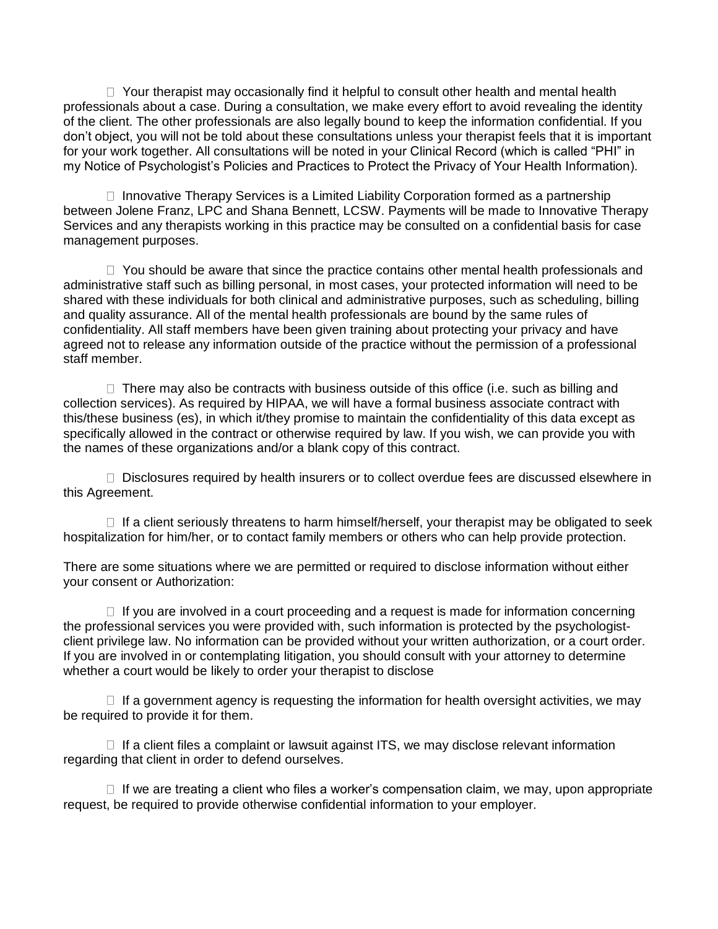$\Box$  Your therapist may occasionally find it helpful to consult other health and mental health professionals about a case. During a consultation, we make every effort to avoid revealing the identity of the client. The other professionals are also legally bound to keep the information confidential. If you don't object, you will not be told about these consultations unless your therapist feels that it is important for your work together. All consultations will be noted in your Clinical Record (which is called "PHI" in my Notice of Psychologist's Policies and Practices to Protect the Privacy of Your Health Information).

 $\Box$  Innovative Therapy Services is a Limited Liability Corporation formed as a partnership between Jolene Franz, LPC and Shana Bennett, LCSW. Payments will be made to Innovative Therapy Services and any therapists working in this practice may be consulted on a confidential basis for case management purposes.

 $\Box$  You should be aware that since the practice contains other mental health professionals and administrative staff such as billing personal, in most cases, your protected information will need to be shared with these individuals for both clinical and administrative purposes, such as scheduling, billing and quality assurance. All of the mental health professionals are bound by the same rules of confidentiality. All staff members have been given training about protecting your privacy and have agreed not to release any information outside of the practice without the permission of a professional staff member.

 $\Box$  There may also be contracts with business outside of this office (i.e. such as billing and collection services). As required by HIPAA, we will have a formal business associate contract with this/these business (es), in which it/they promise to maintain the confidentiality of this data except as specifically allowed in the contract or otherwise required by law. If you wish, we can provide you with the names of these organizations and/or a blank copy of this contract.

D Disclosures required by health insurers or to collect overdue fees are discussed elsewhere in this Agreement.

 $\Box$  If a client seriously threatens to harm himself/herself, your therapist may be obligated to seek hospitalization for him/her, or to contact family members or others who can help provide protection.

There are some situations where we are permitted or required to disclose information without either your consent or Authorization:

 $\Box$  If you are involved in a court proceeding and a request is made for information concerning the professional services you were provided with, such information is protected by the psychologistclient privilege law. No information can be provided without your written authorization, or a court order. If you are involved in or contemplating litigation, you should consult with your attorney to determine whether a court would be likely to order your therapist to disclose

 $\Box$  If a government agency is requesting the information for health oversight activities, we may be required to provide it for them.

 $\Box$  If a client files a complaint or lawsuit against ITS, we may disclose relevant information regarding that client in order to defend ourselves.

 $\Box$  If we are treating a client who files a worker's compensation claim, we may, upon appropriate request, be required to provide otherwise confidential information to your employer.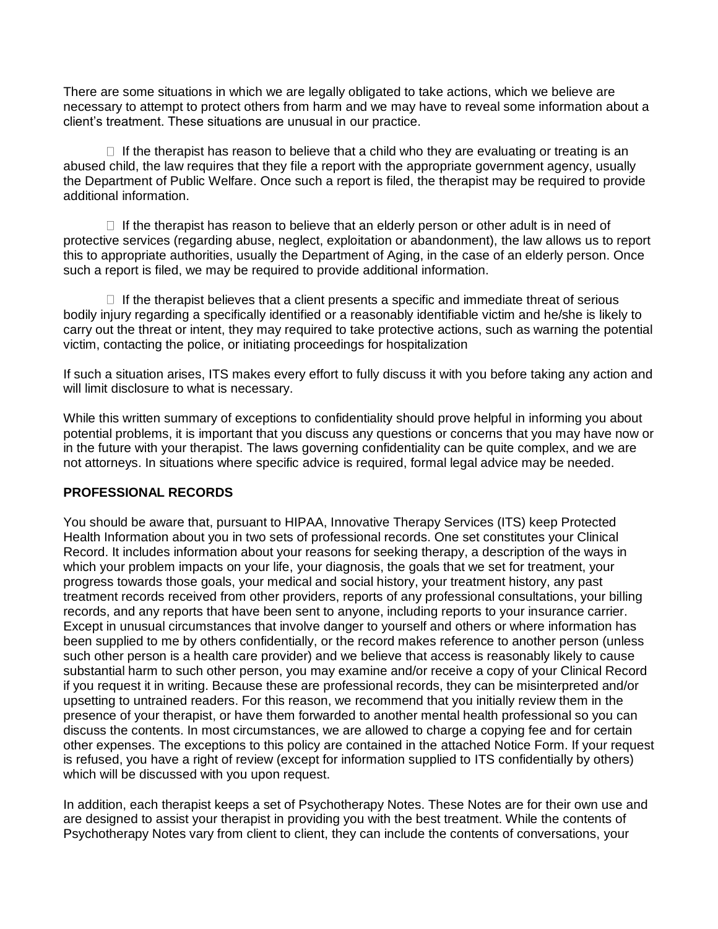There are some situations in which we are legally obligated to take actions, which we believe are necessary to attempt to protect others from harm and we may have to reveal some information about a client's treatment. These situations are unusual in our practice.

 $\Box$  If the therapist has reason to believe that a child who they are evaluating or treating is an abused child, the law requires that they file a report with the appropriate government agency, usually the Department of Public Welfare. Once such a report is filed, the therapist may be required to provide additional information.

 $\Box$  If the therapist has reason to believe that an elderly person or other adult is in need of protective services (regarding abuse, neglect, exploitation or abandonment), the law allows us to report this to appropriate authorities, usually the Department of Aging, in the case of an elderly person. Once such a report is filed, we may be required to provide additional information.

 $\Box$  If the therapist believes that a client presents a specific and immediate threat of serious bodily injury regarding a specifically identified or a reasonably identifiable victim and he/she is likely to carry out the threat or intent, they may required to take protective actions, such as warning the potential victim, contacting the police, or initiating proceedings for hospitalization

If such a situation arises, ITS makes every effort to fully discuss it with you before taking any action and will limit disclosure to what is necessary.

While this written summary of exceptions to confidentiality should prove helpful in informing you about potential problems, it is important that you discuss any questions or concerns that you may have now or in the future with your therapist. The laws governing confidentiality can be quite complex, and we are not attorneys. In situations where specific advice is required, formal legal advice may be needed.

#### **PROFESSIONAL RECORDS**

You should be aware that, pursuant to HIPAA, Innovative Therapy Services (ITS) keep Protected Health Information about you in two sets of professional records. One set constitutes your Clinical Record. It includes information about your reasons for seeking therapy, a description of the ways in which your problem impacts on your life, your diagnosis, the goals that we set for treatment, your progress towards those goals, your medical and social history, your treatment history, any past treatment records received from other providers, reports of any professional consultations, your billing records, and any reports that have been sent to anyone, including reports to your insurance carrier. Except in unusual circumstances that involve danger to yourself and others or where information has been supplied to me by others confidentially, or the record makes reference to another person (unless such other person is a health care provider) and we believe that access is reasonably likely to cause substantial harm to such other person, you may examine and/or receive a copy of your Clinical Record if you request it in writing. Because these are professional records, they can be misinterpreted and/or upsetting to untrained readers. For this reason, we recommend that you initially review them in the presence of your therapist, or have them forwarded to another mental health professional so you can discuss the contents. In most circumstances, we are allowed to charge a copying fee and for certain other expenses. The exceptions to this policy are contained in the attached Notice Form. If your request is refused, you have a right of review (except for information supplied to ITS confidentially by others) which will be discussed with you upon request.

In addition, each therapist keeps a set of Psychotherapy Notes. These Notes are for their own use and are designed to assist your therapist in providing you with the best treatment. While the contents of Psychotherapy Notes vary from client to client, they can include the contents of conversations, your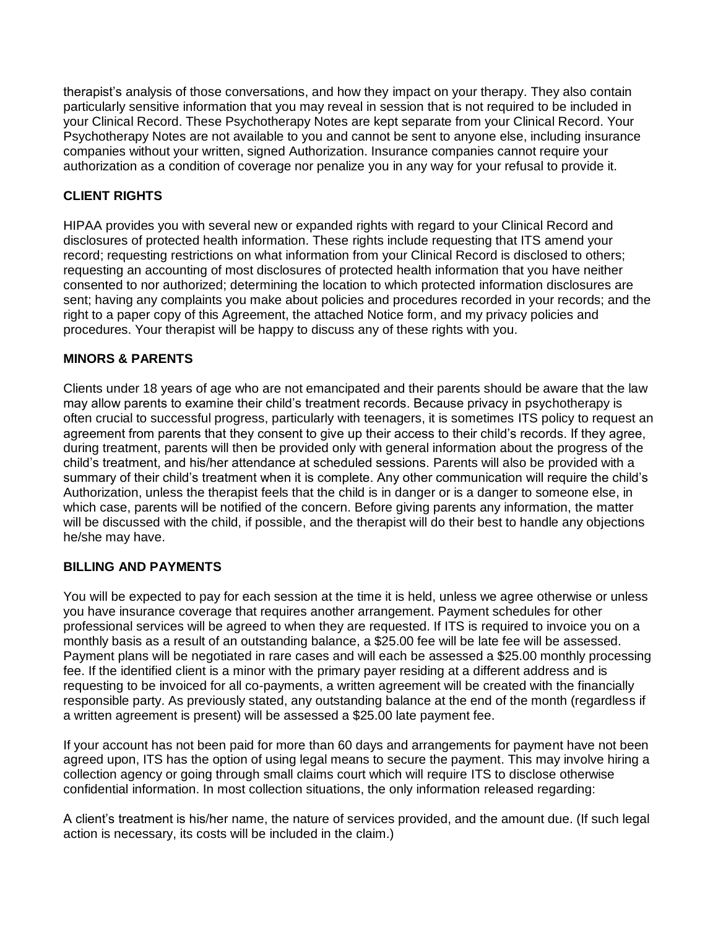therapist's analysis of those conversations, and how they impact on your therapy. They also contain particularly sensitive information that you may reveal in session that is not required to be included in your Clinical Record. These Psychotherapy Notes are kept separate from your Clinical Record. Your Psychotherapy Notes are not available to you and cannot be sent to anyone else, including insurance companies without your written, signed Authorization. Insurance companies cannot require your authorization as a condition of coverage nor penalize you in any way for your refusal to provide it.

# **CLIENT RIGHTS**

HIPAA provides you with several new or expanded rights with regard to your Clinical Record and disclosures of protected health information. These rights include requesting that ITS amend your record; requesting restrictions on what information from your Clinical Record is disclosed to others; requesting an accounting of most disclosures of protected health information that you have neither consented to nor authorized; determining the location to which protected information disclosures are sent; having any complaints you make about policies and procedures recorded in your records; and the right to a paper copy of this Agreement, the attached Notice form, and my privacy policies and procedures. Your therapist will be happy to discuss any of these rights with you.

### **MINORS & PARENTS**

Clients under 18 years of age who are not emancipated and their parents should be aware that the law may allow parents to examine their child's treatment records. Because privacy in psychotherapy is often crucial to successful progress, particularly with teenagers, it is sometimes ITS policy to request an agreement from parents that they consent to give up their access to their child's records. If they agree, during treatment, parents will then be provided only with general information about the progress of the child's treatment, and his/her attendance at scheduled sessions. Parents will also be provided with a summary of their child's treatment when it is complete. Any other communication will require the child's Authorization, unless the therapist feels that the child is in danger or is a danger to someone else, in which case, parents will be notified of the concern. Before giving parents any information, the matter will be discussed with the child, if possible, and the therapist will do their best to handle any objections he/she may have.

#### **BILLING AND PAYMENTS**

You will be expected to pay for each session at the time it is held, unless we agree otherwise or unless you have insurance coverage that requires another arrangement. Payment schedules for other professional services will be agreed to when they are requested. If ITS is required to invoice you on a monthly basis as a result of an outstanding balance, a \$25.00 fee will be late fee will be assessed. Payment plans will be negotiated in rare cases and will each be assessed a \$25.00 monthly processing fee. If the identified client is a minor with the primary payer residing at a different address and is requesting to be invoiced for all co-payments, a written agreement will be created with the financially responsible party. As previously stated, any outstanding balance at the end of the month (regardless if a written agreement is present) will be assessed a \$25.00 late payment fee.

If your account has not been paid for more than 60 days and arrangements for payment have not been agreed upon, ITS has the option of using legal means to secure the payment. This may involve hiring a collection agency or going through small claims court which will require ITS to disclose otherwise confidential information. In most collection situations, the only information released regarding:

A client's treatment is his/her name, the nature of services provided, and the amount due. (If such legal action is necessary, its costs will be included in the claim.)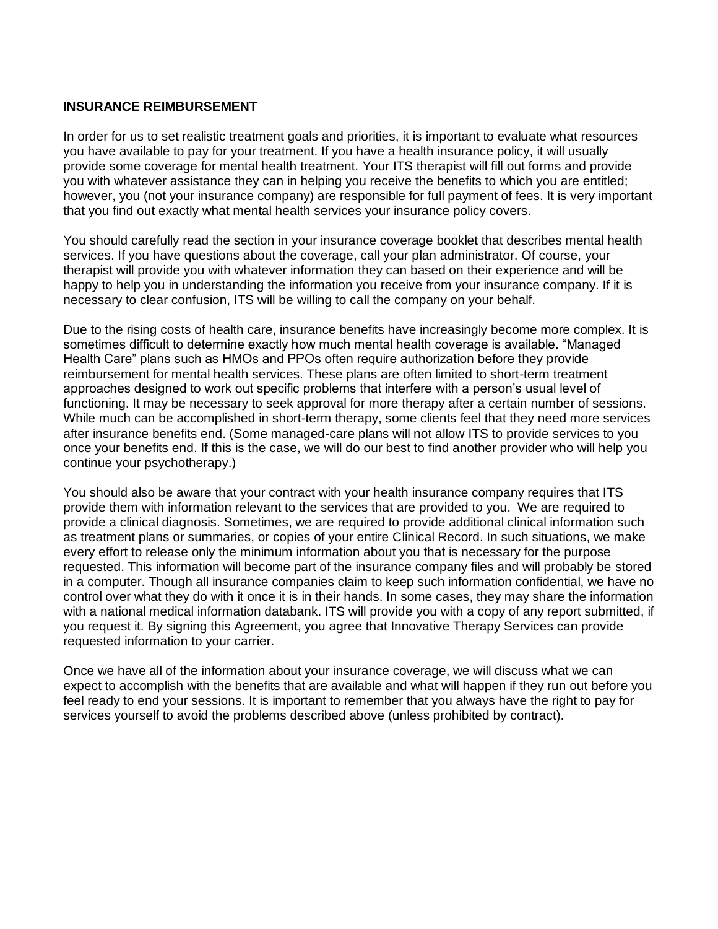#### **INSURANCE REIMBURSEMENT**

In order for us to set realistic treatment goals and priorities, it is important to evaluate what resources you have available to pay for your treatment. If you have a health insurance policy, it will usually provide some coverage for mental health treatment. Your ITS therapist will fill out forms and provide you with whatever assistance they can in helping you receive the benefits to which you are entitled; however, you (not your insurance company) are responsible for full payment of fees. It is very important that you find out exactly what mental health services your insurance policy covers.

You should carefully read the section in your insurance coverage booklet that describes mental health services. If you have questions about the coverage, call your plan administrator. Of course, your therapist will provide you with whatever information they can based on their experience and will be happy to help you in understanding the information you receive from your insurance company. If it is necessary to clear confusion, ITS will be willing to call the company on your behalf.

Due to the rising costs of health care, insurance benefits have increasingly become more complex. It is sometimes difficult to determine exactly how much mental health coverage is available. "Managed Health Care" plans such as HMOs and PPOs often require authorization before they provide reimbursement for mental health services. These plans are often limited to short-term treatment approaches designed to work out specific problems that interfere with a person's usual level of functioning. It may be necessary to seek approval for more therapy after a certain number of sessions. While much can be accomplished in short-term therapy, some clients feel that they need more services after insurance benefits end. (Some managed-care plans will not allow ITS to provide services to you once your benefits end. If this is the case, we will do our best to find another provider who will help you continue your psychotherapy.)

You should also be aware that your contract with your health insurance company requires that ITS provide them with information relevant to the services that are provided to you. We are required to provide a clinical diagnosis. Sometimes, we are required to provide additional clinical information such as treatment plans or summaries, or copies of your entire Clinical Record. In such situations, we make every effort to release only the minimum information about you that is necessary for the purpose requested. This information will become part of the insurance company files and will probably be stored in a computer. Though all insurance companies claim to keep such information confidential, we have no control over what they do with it once it is in their hands. In some cases, they may share the information with a national medical information databank. ITS will provide you with a copy of any report submitted, if you request it. By signing this Agreement, you agree that Innovative Therapy Services can provide requested information to your carrier.

Once we have all of the information about your insurance coverage, we will discuss what we can expect to accomplish with the benefits that are available and what will happen if they run out before you feel ready to end your sessions. It is important to remember that you always have the right to pay for services yourself to avoid the problems described above (unless prohibited by contract).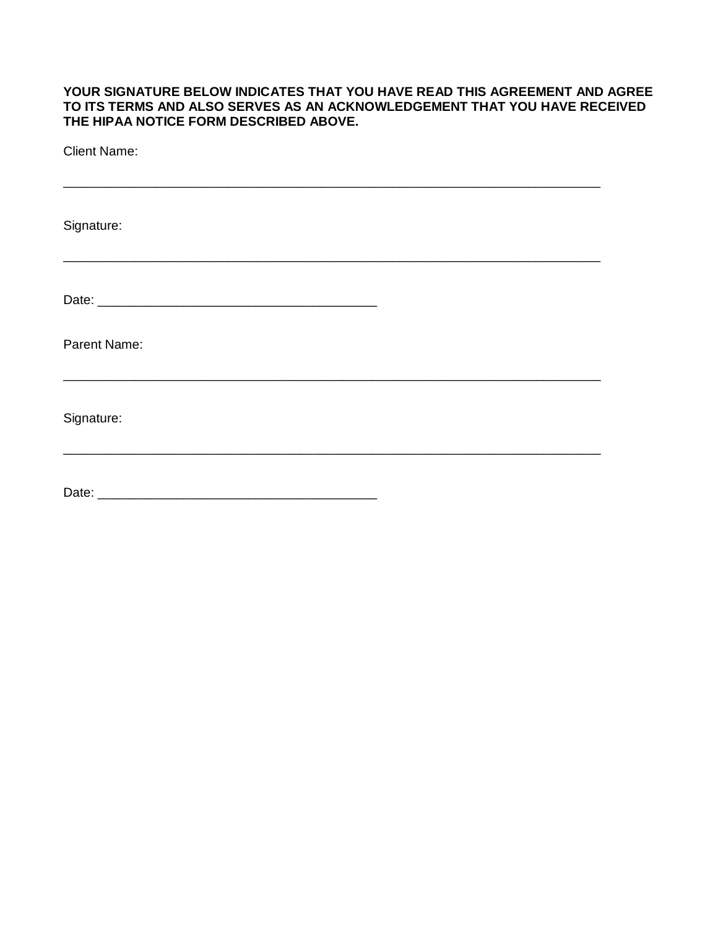#### **YOUR SIGNATURE BELOW INDICATES THAT YOU HAVE READ THIS AGREEMENT AND AGREE TO ITS TERMS AND ALSO SERVES AS AN ACKNOWLEDGEMENT THAT YOU HAVE RECEIVED THE HIPAA NOTICE FORM DESCRIBED ABOVE.**

| <b>Client Name:</b> |  |
|---------------------|--|
|                     |  |
| Signature:          |  |
|                     |  |
|                     |  |
| Parent Name:        |  |
|                     |  |
| Signature:          |  |
|                     |  |
|                     |  |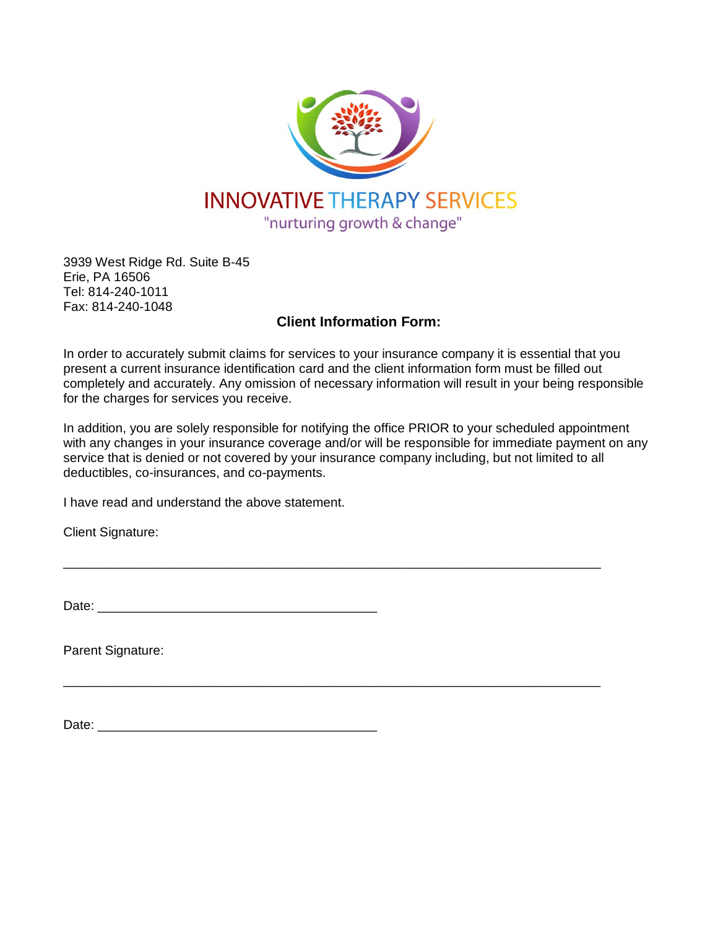

3939 West Ridge Rd. Suite B-45 Erie, PA 16506 Tel: 814-240-1011 Fax: 814-240-1048

# **Client Information Form:**

In order to accurately submit claims for services to your insurance company it is essential that you present a current insurance identification card and the client information form must be filled out completely and accurately. Any omission of necessary information will result in your being responsible for the charges for services you receive.

In addition, you are solely responsible for notifying the office PRIOR to your scheduled appointment with any changes in your insurance coverage and/or will be responsible for immediate payment on any service that is denied or not covered by your insurance company including, but not limited to all deductibles, co-insurances, and co-payments.

\_\_\_\_\_\_\_\_\_\_\_\_\_\_\_\_\_\_\_\_\_\_\_\_\_\_\_\_\_\_\_\_\_\_\_\_\_\_\_\_\_\_\_\_\_\_\_\_\_\_\_\_\_\_\_\_\_\_\_\_\_\_\_\_\_\_\_\_\_\_\_\_\_\_\_

\_\_\_\_\_\_\_\_\_\_\_\_\_\_\_\_\_\_\_\_\_\_\_\_\_\_\_\_\_\_\_\_\_\_\_\_\_\_\_\_\_\_\_\_\_\_\_\_\_\_\_\_\_\_\_\_\_\_\_\_\_\_\_\_\_\_\_\_\_\_\_\_\_\_\_

I have read and understand the above statement.

Client Signature:

Date: \_\_\_\_\_\_\_\_\_\_\_\_\_\_\_\_\_\_\_\_\_\_\_\_\_\_\_\_\_\_\_\_\_\_\_\_\_\_\_

Parent Signature:

 $Date:$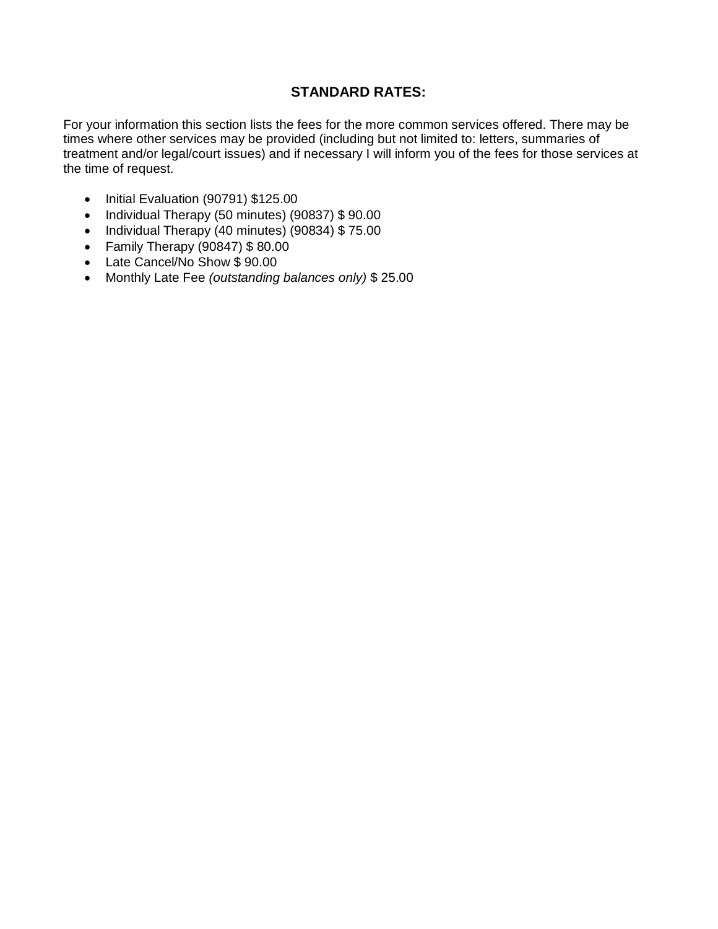# **STANDARD RATES:**

For your information this section lists the fees for the more common services offered. There may be times where other services may be provided (including but not limited to: letters, summaries of treatment and/or legal/court issues) and if necessary I will inform you of the fees for those services at the time of request.

- Initial Evaluation (90791) \$125.00
- Individual Therapy (50 minutes) (90837) \$90.00
- Individual Therapy (40 minutes) (90834) \$75.00
- Family Therapy (90847) \$ 80.00
- Late Cancel/No Show \$90.00
- Monthly Late Fee *(outstanding balances only)* \$ 25.00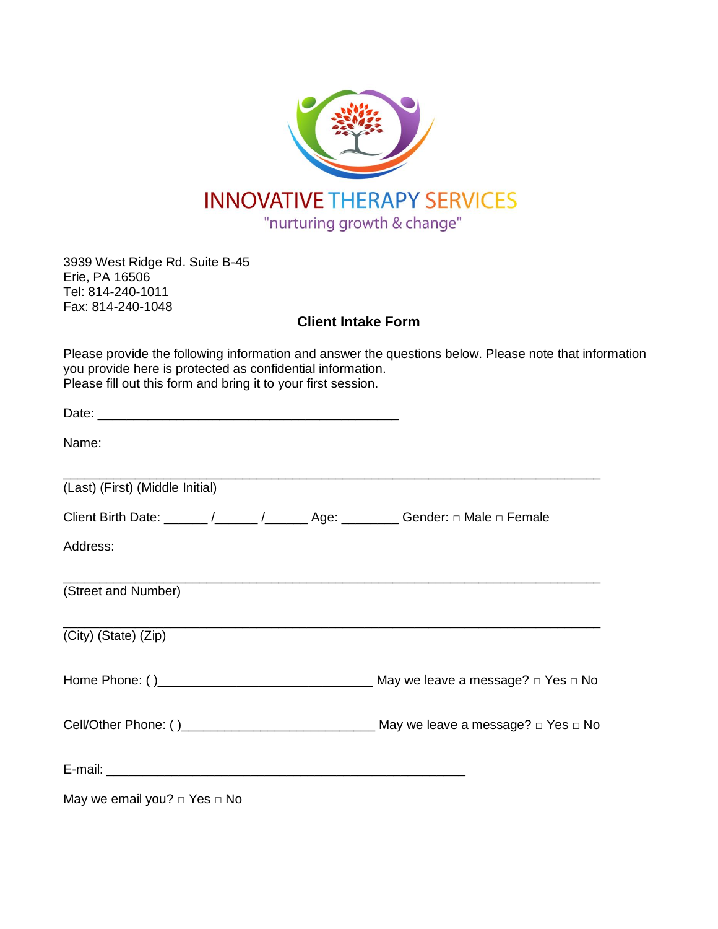

3939 West Ridge Rd. Suite B-45 Erie, PA 16506 Tel: 814-240-1011 Fax: 814-240-1048

**Client Intake Form**

Please provide the following information and answer the questions below. Please note that information you provide here is protected as confidential information. Please fill out this form and bring it to your first session.

| Name:                                                                                                         |  |
|---------------------------------------------------------------------------------------------------------------|--|
| (Last) (First) (Middle Initial)                                                                               |  |
| Client Birth Date: ______ /______ /______ Age: ________ Gender: $\Box$ Male $\Box$ Female                     |  |
| Address:                                                                                                      |  |
| (Street and Number)                                                                                           |  |
| (City) (State) (Zip)                                                                                          |  |
|                                                                                                               |  |
|                                                                                                               |  |
| E-mail: 2008. 2008. 2009. 2009. 2009. 2010. 2010. 2010. 2010. 2010. 2010. 2010. 2010. 2010. 2010. 2010. 2010. |  |
| May we email you? $\Box$ Yes $\Box$ No                                                                        |  |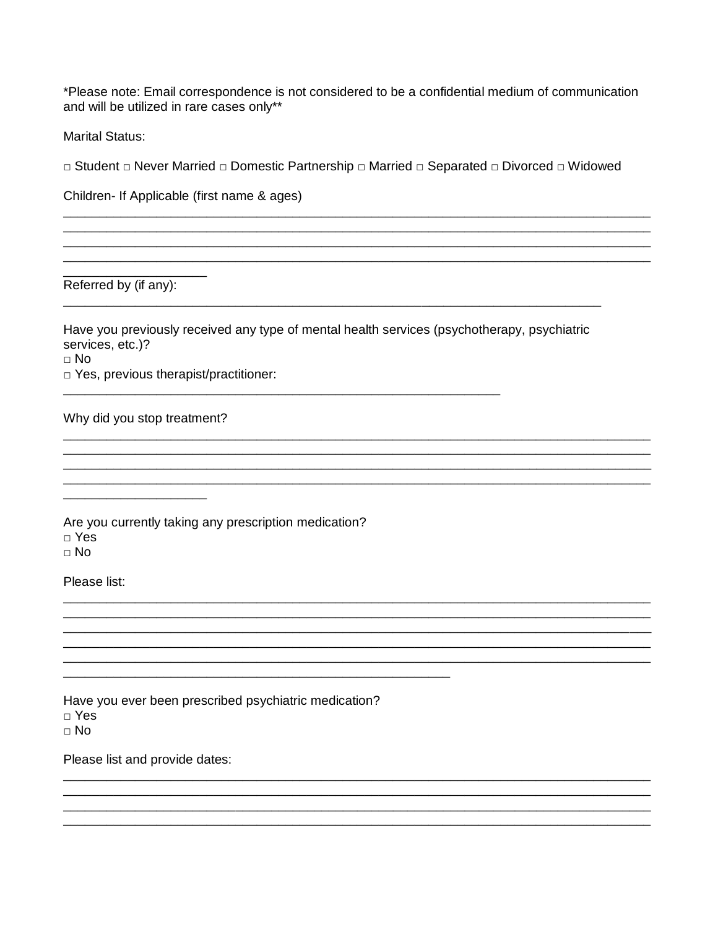\*Please note: Email correspondence is not considered to be a confidential medium of communication and will be utilized in rare cases only\*\*

**Marital Status:** 

□ Student □ Never Married □ Domestic Partnership □ Married □ Separated □ Divorced □ Widowed

Children- If Applicable (first name & ages)

Referred by (if any):

Have you previously received any type of mental health services (psychotherapy, psychiatric services, etc.)?

 $\Box$  No

□ Yes, previous therapist/practitioner:

Why did you stop treatment?

Are you currently taking any prescription medication?  $\Box$  Yes  $\sqcap$  No

Please list:

Have you ever been prescribed psychiatric medication?  $\Box$  Yes  $\Box$  No

Please list and provide dates: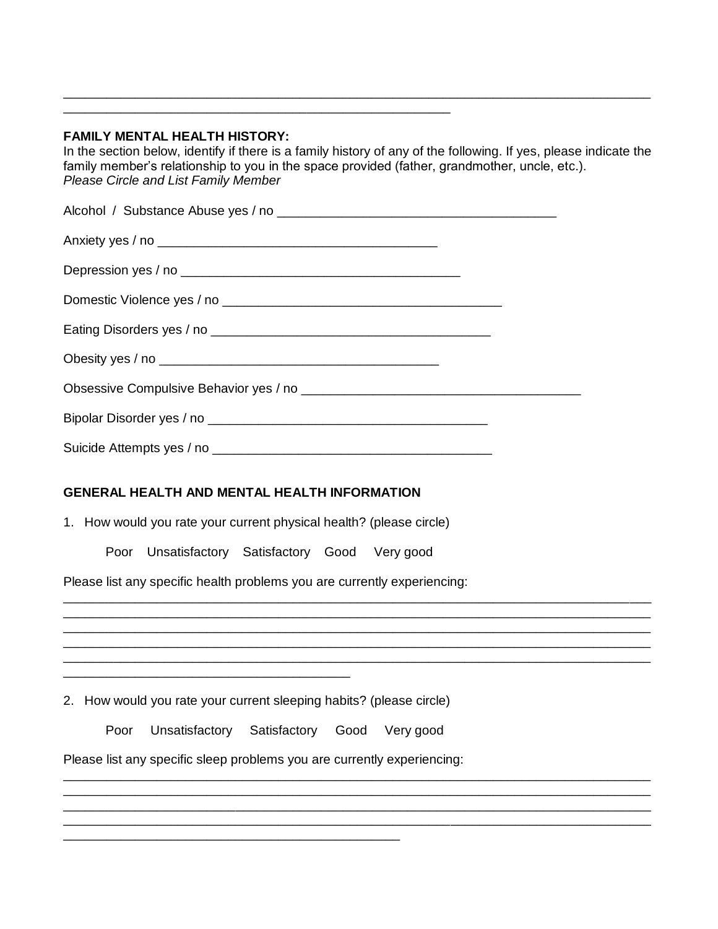### **FAMILY MENTAL HEALTH HISTORY:**

\_\_\_\_\_\_\_\_\_\_\_\_\_\_\_\_\_\_\_\_\_\_\_\_\_\_\_\_\_\_\_\_\_\_\_\_\_\_\_\_\_\_\_\_\_\_\_\_\_\_\_\_\_\_

In the section below, identify if there is a family history of any of the following. If yes, please indicate the family member's relationship to you in the space provided (father, grandmother, uncle, etc.). *Please Circle and List Family Member* 

\_\_\_\_\_\_\_\_\_\_\_\_\_\_\_\_\_\_\_\_\_\_\_\_\_\_\_\_\_\_\_\_\_\_\_\_\_\_\_\_\_\_\_\_\_\_\_\_\_\_\_\_\_\_\_\_\_\_\_\_\_\_\_\_\_\_\_\_\_\_\_\_\_\_\_\_\_\_\_\_\_\_

| GENERAL HEALTH AND MENTAL HEALTH INFORMATION<br>1. How would you rate your current physical health? (please circle)<br>Poor Unsatisfactory Satisfactory Good Very good<br>Please list any specific health problems you are currently experiencing: |
|----------------------------------------------------------------------------------------------------------------------------------------------------------------------------------------------------------------------------------------------------|
| <u> 1989 - Johann Stoff, deutscher Stoff, der Stoff, der Stoff, der Stoff, der Stoff, der Stoff, der Stoff, der S</u>                                                                                                                              |
| <u> 1980 - Johann Stoff, amerikansk politik (d. 1980)</u>                                                                                                                                                                                          |
| 2. How would you rate your current sleeping habits? (please circle)                                                                                                                                                                                |
| Poor Unsatisfactory Satisfactory Good Very good                                                                                                                                                                                                    |
| Please list any specific sleep problems you are currently experiencing:                                                                                                                                                                            |
|                                                                                                                                                                                                                                                    |
|                                                                                                                                                                                                                                                    |

\_\_\_\_\_\_\_\_\_\_\_\_\_\_\_\_\_\_\_\_\_\_\_\_\_\_\_\_\_\_\_\_\_\_\_\_\_\_\_\_\_\_\_\_\_\_\_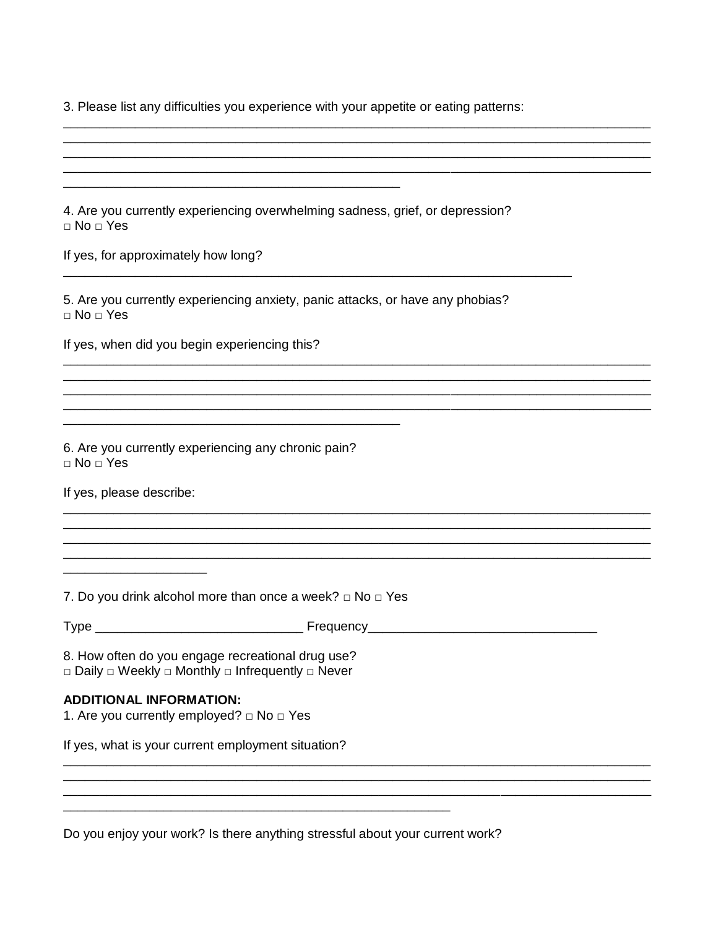3. Please list any difficulties you experience with your appetite or eating patterns:

4. Are you currently experiencing overwhelming sadness, grief, or depression?  $\Box$  No  $\Box$  Yes If yes, for approximately how long? 5. Are you currently experiencing anxiety, panic attacks, or have any phobias?  $\Box$  No  $\Box$  Yes If yes, when did you begin experiencing this? 6. Are you currently experiencing any chronic pain?  $\Box$  No  $\Box$  Yes If yes, please describe: <u> 1989 - Johann Barn, mars and de Branch Barn, mars and de Branch Barn, mars and de Branch Barn, mars and de Br</u> 7. Do you drink alcohol more than once a week?  $\Box$  No  $\Box$  Yes 8. How often do you engage recreational drug use? □ Daily □ Weekly □ Monthly □ Infrequently □ Never **ADDITIONAL INFORMATION:** 1. Are you currently employed?  $\Box$  No  $\Box$  Yes If yes, what is your current employment situation?

Do you enjoy your work? Is there anything stressful about your current work?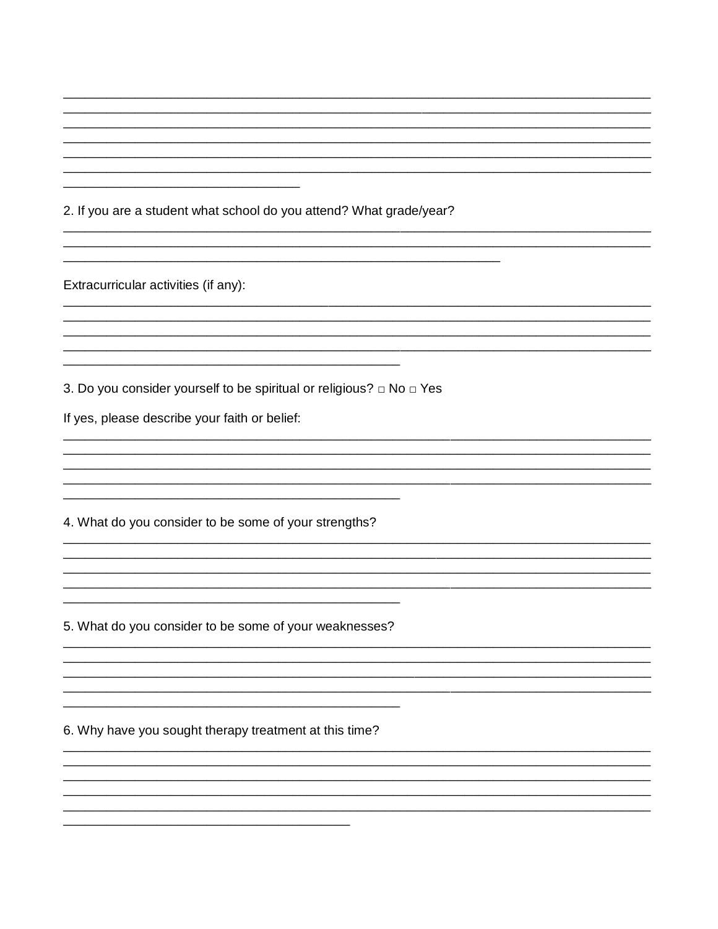2. If you are a student what school do you attend? What grade/year?

Extracurricular activities (if any):

3. Do you consider yourself to be spiritual or religious? □ No □ Yes

If yes, please describe your faith or belief:

4. What do you consider to be some of your strengths?

5. What do you consider to be some of your weaknesses?

6. Why have you sought therapy treatment at this time?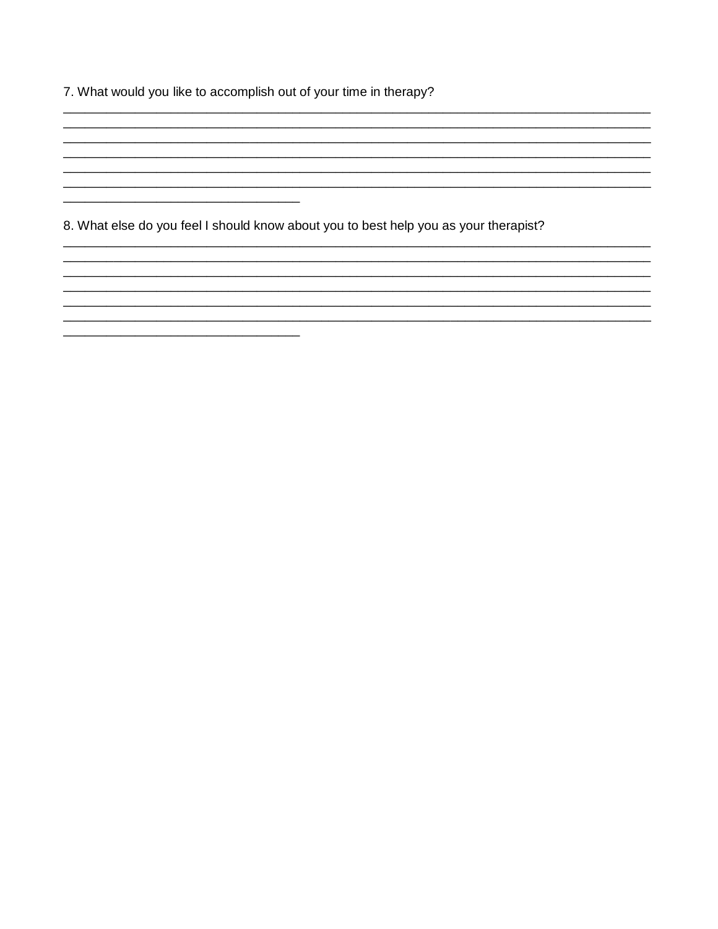7. What would you like to accomplish out of your time in therapy?

8. What else do you feel I should know about you to best help you as your therapist?

<u> 2002 - Jan James James James James James James James James James James James James James James James James</u>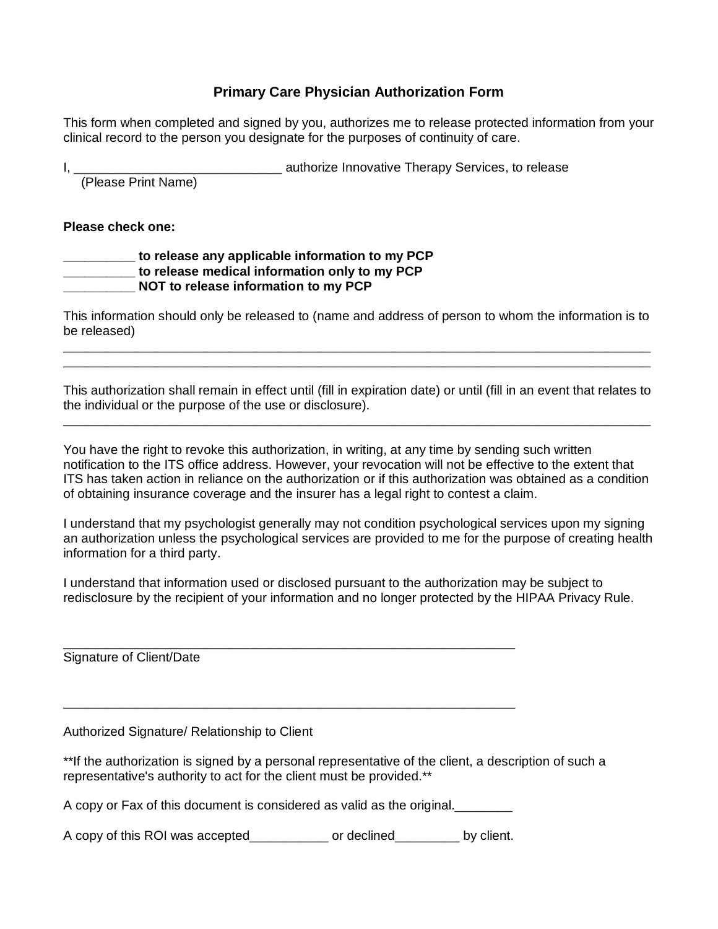## **Primary Care Physician Authorization Form**

This form when completed and signed by you, authorizes me to release protected information from your clinical record to the person you designate for the purposes of continuity of care.

I, \_\_\_\_\_\_\_\_\_\_\_\_\_\_\_\_\_\_\_\_\_\_\_\_\_\_\_\_\_ authorize Innovative Therapy Services, to release (Please Print Name)

**Please check one:** 

#### **\_\_\_\_\_\_\_\_\_\_ to release any applicable information to my PCP \_\_\_\_\_\_\_\_\_\_ to release medical information only to my PCP \_\_\_\_\_\_\_\_\_\_ NOT to release information to my PCP**

This information should only be released to (name and address of person to whom the information is to be released) \_\_\_\_\_\_\_\_\_\_\_\_\_\_\_\_\_\_\_\_\_\_\_\_\_\_\_\_\_\_\_\_\_\_\_\_\_\_\_\_\_\_\_\_\_\_\_\_\_\_\_\_\_\_\_\_\_\_\_\_\_\_\_\_\_\_\_\_\_\_\_\_\_\_\_\_\_\_\_\_\_\_

\_\_\_\_\_\_\_\_\_\_\_\_\_\_\_\_\_\_\_\_\_\_\_\_\_\_\_\_\_\_\_\_\_\_\_\_\_\_\_\_\_\_\_\_\_\_\_\_\_\_\_\_\_\_\_\_\_\_\_\_\_\_\_\_\_\_\_\_\_\_\_\_\_\_\_\_\_\_\_\_\_\_

This authorization shall remain in effect until (fill in expiration date) or until (fill in an event that relates to the individual or the purpose of the use or disclosure). \_\_\_\_\_\_\_\_\_\_\_\_\_\_\_\_\_\_\_\_\_\_\_\_\_\_\_\_\_\_\_\_\_\_\_\_\_\_\_\_\_\_\_\_\_\_\_\_\_\_\_\_\_\_\_\_\_\_\_\_\_\_\_\_\_\_\_\_\_\_\_\_\_\_\_\_\_\_\_\_\_\_

You have the right to revoke this authorization, in writing, at any time by sending such written notification to the ITS office address. However, your revocation will not be effective to the extent that ITS has taken action in reliance on the authorization or if this authorization was obtained as a condition of obtaining insurance coverage and the insurer has a legal right to contest a claim.

I understand that my psychologist generally may not condition psychological services upon my signing an authorization unless the psychological services are provided to me for the purpose of creating health information for a third party.

I understand that information used or disclosed pursuant to the authorization may be subject to redisclosure by the recipient of your information and no longer protected by the HIPAA Privacy Rule.

Signature of Client/Date

Authorized Signature/ Relationship to Client

\*\*If the authorization is signed by a personal representative of the client, a description of such a representative's authority to act for the client must be provided.\*\*

A copy or Fax of this document is considered as valid as the original.\_\_\_\_\_\_\_\_

\_\_\_\_\_\_\_\_\_\_\_\_\_\_\_\_\_\_\_\_\_\_\_\_\_\_\_\_\_\_\_\_\_\_\_\_\_\_\_\_\_\_\_\_\_\_\_\_\_\_\_\_\_\_\_\_\_\_\_\_\_\_\_

\_\_\_\_\_\_\_\_\_\_\_\_\_\_\_\_\_\_\_\_\_\_\_\_\_\_\_\_\_\_\_\_\_\_\_\_\_\_\_\_\_\_\_\_\_\_\_\_\_\_\_\_\_\_\_\_\_\_\_\_\_\_\_

A copy of this ROI was accepted\_\_\_\_\_\_\_\_\_\_\_ or declined\_\_\_\_\_\_\_\_\_ by client.